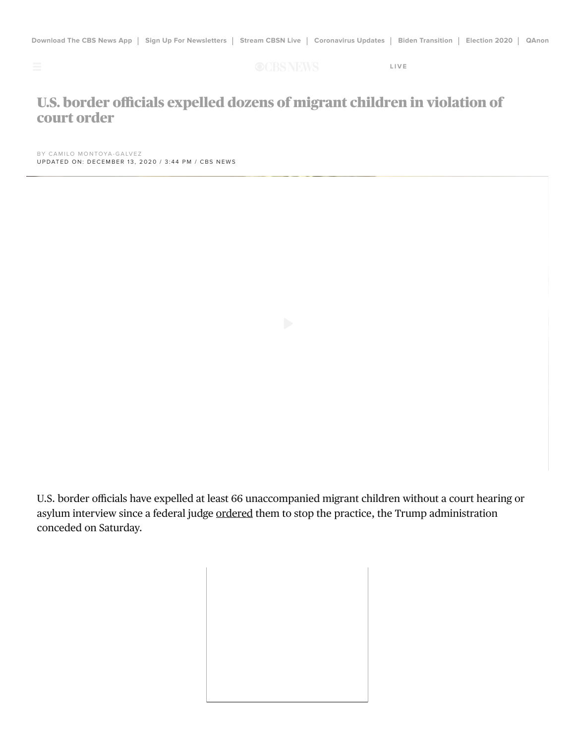

**CCBS NEWS** LIVE

## U.S. border officials expelled dozens of migrant children in violation of court order

BY CAMILO MONTOYA-GALVEZ UPDATED ON: DECEMBER 13, 2020 / 3:44 PM / CBS NEWS

U.S. border officials have expelled at least 66 unaccompanied migrant children without a court hearing or asylum interview since a federal judge ordered them to stop the practice, the Trump administration conceded on Saturday.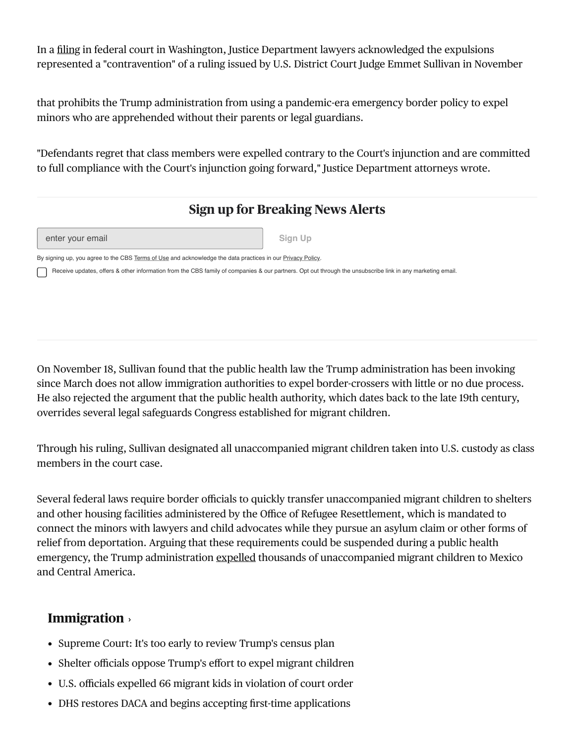In a filing in federal court in Washington, Justice Department lawyers acknowledged the expulsions represented a "contravention" of a ruling issued by U.S. District Court Judge Emmet Sullivan in November

that prohibits the Trump administration from using a pandemic-era emergency border policy to expel minors who are apprehended without their parents or legal guardians.

"Defendants regret that class members were expelled contrary to the Court's injunction and are committed to full compliance with the Court's injunction going forward," Justice Department attorneys wrote.

## Sign up for Breaking News Alerts

| enter your email |  |  |  |  |
|------------------|--|--|--|--|
|------------------|--|--|--|--|

Sign Up

By signing up, you agree to the CBS Terms of Use and acknowledge the data practices in our Privacy Policy.

Receive updates, offers & other information from the CBS family of companies & our partners. Opt out through the unsubscribe link in any marketing email.

On November 18, Sullivan found that the public health law the Trump administration has been invoking since March does not allow immigration authorities to expel border-crossers with little or no due process. He also rejected the argument that the public health authority, which dates back to the late 19th century, overrides several legal safeguards Congress established for migrant children.

Through his ruling, Sullivan designated all unaccompanied migrant children taken into U.S. custody as class members in the court case.

Several federal laws require border officials to quickly transfer unaccompanied migrant children to shelters and other housing facilities administered by the Office of Refugee Resettlement, which is mandated to connect the minors with lawyers and child advocates while they pursue an asylum claim or other forms of relief from deportation. Arguing that these requirements could be suspended during a public health emergency, the Trump administration expelled thousands of unaccompanied migrant children to Mexico and Central America.

## **Immigration**

- Supreme Court: It's too early to review Trump's census plan
- Shelter officials oppose Trump's effort to expel migrant children
- U.S. officials expelled 66 migrant kids in violation of court order
- DHS restores DACA and begins accepting first-time applications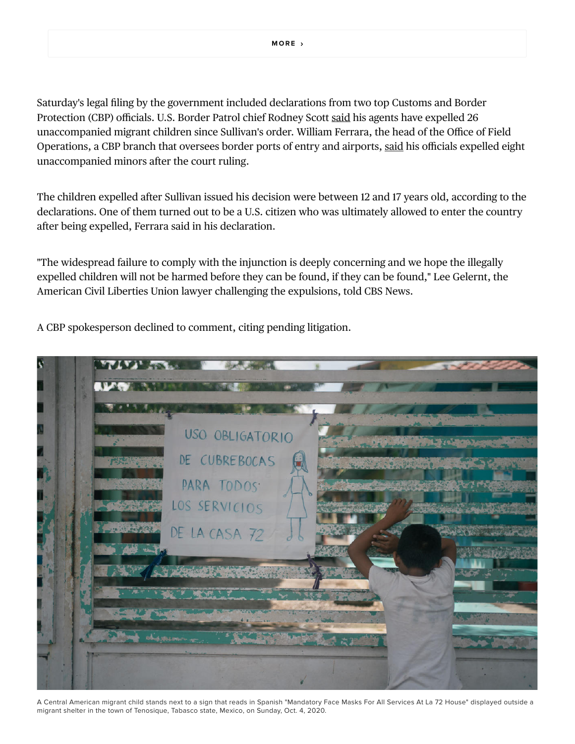Saturday's legal filing by the government included declarations from two top Customs and Border Protection (CBP) officials. U.S. Border Patrol chief Rodney Scott said his agents have expelled 26 unaccompanied migrant children since Sullivan's order. William Ferrara, the head of the Office of Field Operations, a CBP branch that oversees border ports of entry and airports, said his officials expelled eight unaccompanied minors after the court ruling.

The children expelled after Sullivan issued his decision were between 12 and 17 years old, according to the declarations. One of them turned out to be a U.S. citizen who was ultimately allowed to enter the country after being expelled, Ferrara said in his declaration.

"The widespread failure to comply with the injunction is deeply concerning and we hope the illegally expelled children will not be harmed before they can be found, if they can be found," Lee Gelernt, the American Civil Liberties Union lawyer challenging the expulsions, told CBS News.

A CBP spokesperson declined to comment, citing pending litigation.



A Central American migrant child stands next to a sign that reads in Spanish "Mandatory Face Masks For All Services At La 72 House" displayed outside a migrant shelter in the town of Tenosique, Tabasco state, Mexico, on Sunday, Oct. 4, 2020.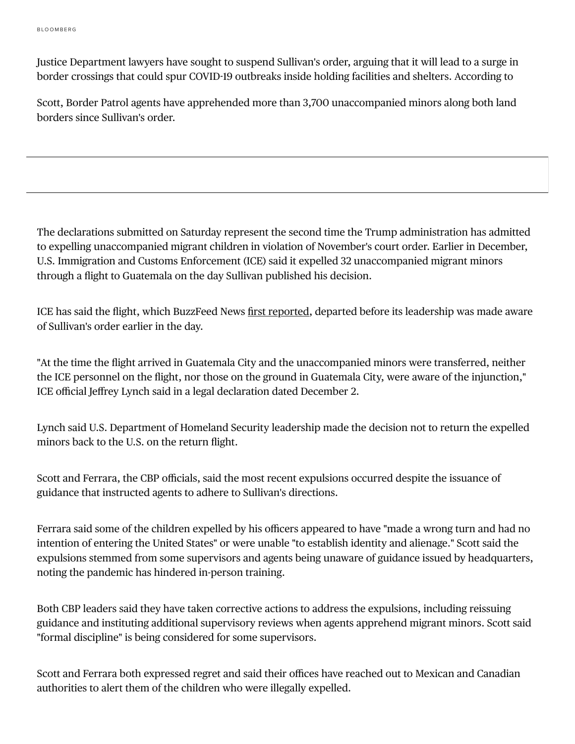Justice Department lawyers have sought to suspend Sullivan's order, arguing that it will lead to a surge in border crossings that could spur COVID19 outbreaks inside holding facilities and shelters. According to

Scott, Border Patrol agents have apprehended more than 3,700 unaccompanied minors along both land borders since Sullivan's order.

The declarations submitted on Saturday represent the second time the Trump administration has admitted to expelling unaccompanied migrant children in violation of November's court order. Earlier in December, U.S. Immigration and Customs Enforcement (ICE) said it expelled 32 unaccompanied migrant minors through a flight to Guatemala on the day Sullivan published his decision.

ICE has said the flight, which BuzzFeed News first reported, departed before its leadership was made aware of Sullivan's order earlier in the day.

"At the time the flight arrived in Guatemala City and the unaccompanied minors were transferred, neither the ICE personnel on the flight, nor those on the ground in Guatemala City, were aware of the injunction," ICE official Jeffrey Lynch said in a legal declaration dated December 2.

Lynch said U.S. Department of Homeland Security leadership made the decision not to return the expelled minors back to the U.S. on the return flight.

Scott and Ferrara, the CBP officials, said the most recent expulsions occurred despite the issuance of guidance that instructed agents to adhere to Sullivan's directions.

Ferrara said some of the children expelled by his officers appeared to have "made a wrong turn and had no intention of entering the United States" or were unable "to establish identity and alienage." Scott said the expulsions stemmed from some supervisors and agents being unaware of guidance issued by headquarters, noting the pandemic has hindered in-person training.

Both CBP leaders said they have taken corrective actions to address the expulsions, including reissuing guidance and instituting additional supervisory reviews when agents apprehend migrant minors. Scott said "formal discipline" is being considered for some supervisors.

Scott and Ferrara both expressed regret and said their offices have reached out to Mexican and Canadian authorities to alert them of the children who were illegally expelled.